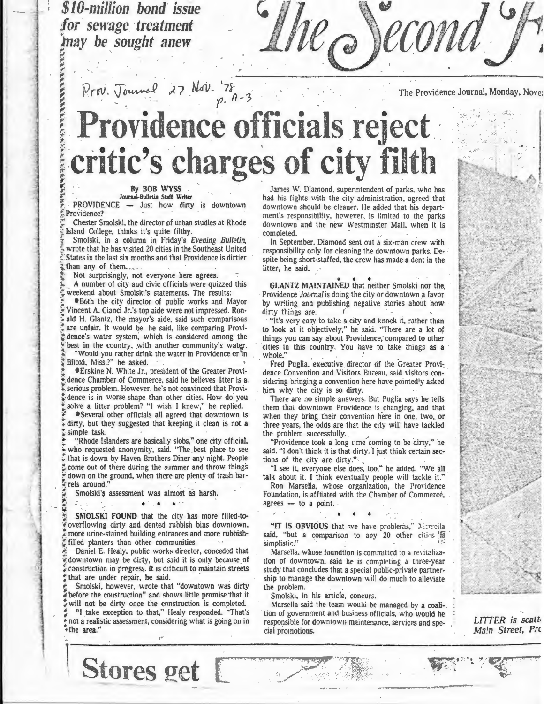*\$1 0-million bond issue*  for sewage treatment **may be sought anew** 

<sup>~</sup> ~

:": <sup>~</sup> <sup>~</sup>

..... ,+ ,.,..,

 $\sim$  **lol** 

, I. S. March 2014, I. S. March 2014, I. S. March 2014, I. S. March 2014, I. S. March 2014, I. S. March 2014,  $\mu_{\mathcal{O}}$  )econd

 $P_{10}$ . Journal 27 Nov. 78  $p.$  A-3

The Providence Journal, Monday, Nove;

-I

I.<br>I

I

~- ~~~-~,~~ ~t~4!i;.

.~;~rt:·~r ~~~~~~~~~~~~~~~~~

### *:;*  , Providence officials reject. \*\*\*  $\tilde{z}$  . ( eritic's charges of city filth

### Journal-Bulletin Staff Writer

**PROVIDENCE - Just how dirty is downtown** Providence?

Chester Smolski, the director of urban studies at Rhode Island College, thinks it's quite filthy.

Smolski, in a column in Friday's *Evening Bulletin*, wrote that he has visited 20 cities in the Southeast United States in the last six months and that Providence is dirtier than any of them.

Not surprisingly, not everyone here agrees.

A number of city and civic officials were quizzed this weekend about Smolski's statements. The results:

{ •Both the city director of public works and Mayor Vincent A. Cianci Jr.'s top aide were not impressed. Ron·  $\div$  ald H. Glantz, the mayor's aide, said such comparisons ; are unfair. It would be, he said, like comparing Providence's water system, which is considered among the best in the country, with another community's water. "Would you rather drink the water in Providence or in Biloxi. Miss.?" he asked.

**\*Erskine N. White Jr., president of the Greater Provi**dence Chamber of Commerce, said he believes litter is a. serious problem. However, he's not convinced that Provi dence is in worse shape than other cities. How do you

solve a litter problem? "I wish I knew," he replied.<br>• Several other officials all agreed that downtown is dirty, but they suggested that keeping it clean is not a simple task.

"Rhode Islanders are basically slobs," one city official, who requested anonymity, said. "The best place to see that is down by Haven Brothers Diner any night. People come out of there during the summer and throw things down on the ground, when there are plenty of trash barrels around.'

Smolski's assessment was almost as harsh.

. \ *.::* . . . . . ..

SMOLSKI FOUND that the city has more filled-tooverflowing dirty and dented rubbish bins downtown, more urine-stained building entrances and more rubbish filled planters than other communities.

Daniel E. Healy, public works director, conceded that downtown may be dirty, but said it is only because of *construction in progress. It is difficult to maintain streets* that are under repair, he said.

Smolski, however, wrote that "downtown was dirty before the construction" and shows little promise that it will not be dirty once the construction is completed. "I take exception to that," Healy responded. "That's " not a realistic assessment, considering what is going en in "' the area."

Stores get

**Let**  $\mathbf{A}$  **By BOB WYSS** James W. Diamond, superintendent of parks, who has had his fights with the city administration, agreed that downtown should be cleaner. He added that his department's responsibiiity, however, is limited to the parks downtown and the new Westminster Mall, when it is completed.

In September, Diamond sent out a six-man crew with responsibility only for cleaning the downtown parks. Despite being short-staffed, the crew has made a dent in the litter, he said.

GLANTZ MAINTAINED that neither Smolski nor the Providence *Journal* is doing the city or downtown a favor by writing and publishing negative stories about how dirty things are.

"It's very easy to take a city and knock it, rather than to look at it objectively," he saiu. "There are a lot of things you can say about Providence, compared to other cities in this country. You have to take things as a whole."

Fred Puglia, executive director of the Greater Providence Convention and Visitors Bureau, said visitors considering bringing a convention here have pointedly asked him why the city is so dirty.

There are no simple answers. But Pugl:a says he tells them that downtown Providence is changing, and that .when they bring their convention here in one, two, or three years, the odds are that the city will have tackled the problem successfully. ,

"Providence took a long time coming to be dirty," he said. "I don't think it is that dirty. I just think certain sections of the city are dirty.".

"I see it, everyone else does, too," he added. "We all talk about it. I think eventually people will tackle it."

Ron Marsella, whose organization, the Providence Foundation, is affliated with the Chamber of Commerce,  $agrees - to a point.$ 

• • \*

"IT IS OBVIOUS that we have problems," Marseila said, "but a comparison to any 20 other cities 'f simplistic."

Marsella. whose foundtion is committed to a revitalization of downtown, said he is completing a three-year study that concludes that a special public-private partnership to manage the downtown will do much to alleviate the problem.

Smolski, in his article, concurs.

Marsella said the team would be managed by a coali-<br>tion of government and business officials, who would he responsible for downtown maintenance, services and speciai promotions.

> ·· f:~.' *··}.*

*LITTER is scatt• Main Street, Pre* 

,,~,. **,\*F.:-.-:'\* :·** ""'. "!« ,

.....- .~ .. --.....,,..,...-----··----- ..-